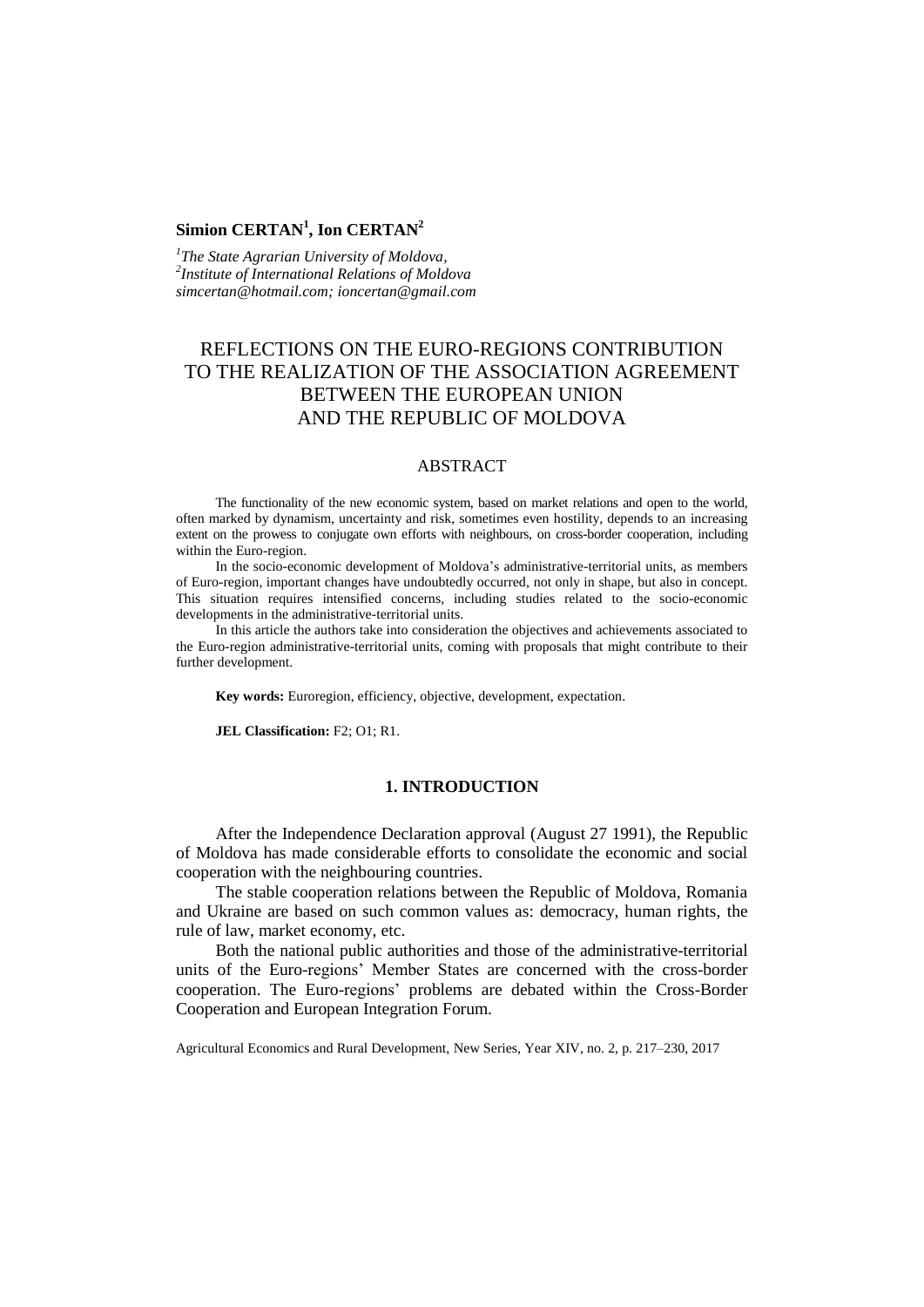# **Simion CERTAN<sup>1</sup> , Ion CERTAN<sup>2</sup>**

*1 The State Agrarian University of Moldova, 2 Institute of International Relations of Moldova simcertan@hotmail.com; ioncertan@gmail.com*

# REFLECTIONS ON THE EURO-REGIONS CONTRIBUTION TO THE REALIZATION OF THE ASSOCIATION AGREEMENT BETWEEN THE EUROPEAN UNION AND THE REPUBLIC OF MOLDOVA

# ABSTRACT

The functionality of the new economic system, based on market relations and open to the world, often marked by dynamism, uncertainty and risk, sometimes even hostility, depends to an increasing extent on the prowess to conjugate own efforts with neighbours, on cross-border cooperation, including within the Euro-region.

In the socio-economic development of Moldova's administrative-territorial units, as members of Euro-region, important changes have undoubtedly occurred, not only in shape, but also in concept. This situation requires intensified concerns, including studies related to the socio-economic developments in the administrative-territorial units.

In this article the authors take into consideration the objectives and achievements associated to the Euro-region administrative-territorial units, coming with proposals that might contribute to their further development.

**Key words:** Euroregion, efficiency, objective, development, expectation.

**JEL Classification:** F2; O1; R1.

### **1. INTRODUCTION**

After the Independence Declaration approval (August 27 1991), the Republic of Moldova has made considerable efforts to consolidate the economic and social cooperation with the neighbouring countries.

The stable cooperation relations between the Republic of Moldova, Romania and Ukraine are based on such common values as: democracy, human rights, the rule of law, market economy, etc.

Both the national public authorities and those of the administrative-territorial units of the Euro-regions' Member States are concerned with the cross-border cooperation. The Euro-regions' problems are debated within the Cross-Border Cooperation and European Integration Forum.

Agricultural Economics and Rural Development, New Series, Year XIV, no. 2, p. 217–230, 2017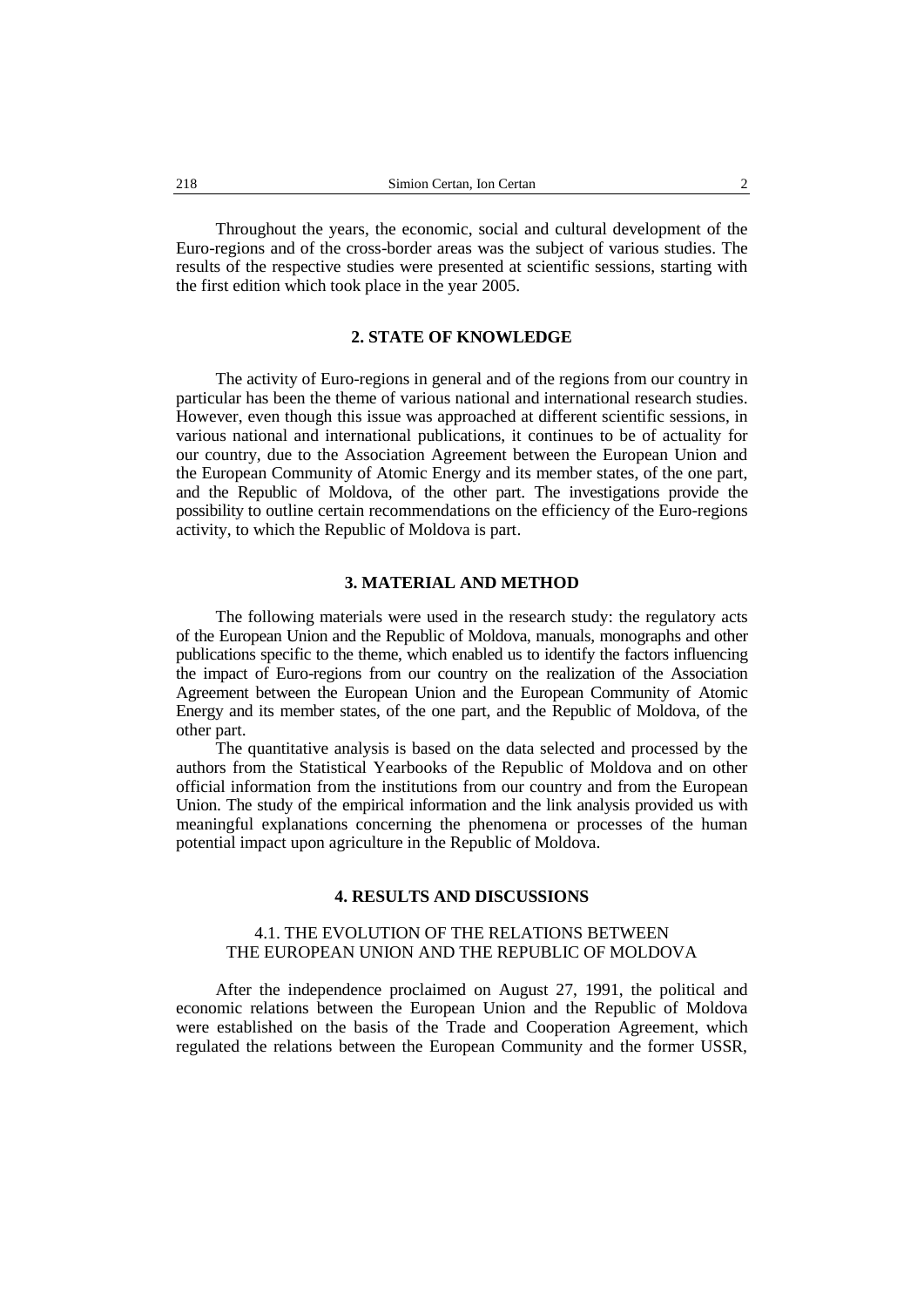Throughout the years, the economic, social and cultural development of the Euro-regions and of the cross-border areas was the subject of various studies. The results of the respective studies were presented at scientific sessions, starting with the first edition which took place in the year 2005.

# **2. STATE OF KNOWLEDGE**

The activity of Euro-regions in general and of the regions from our country in particular has been the theme of various national and international research studies. However, even though this issue was approached at different scientific sessions, in various national and international publications, it continues to be of actuality for our country, due to the Association Agreement between the European Union and the European Community of Atomic Energy and its member states, of the one part, and the Republic of Moldova, of the other part. The investigations provide the possibility to outline certain recommendations on the efficiency of the Euro-regions activity, to which the Republic of Moldova is part.

#### **3. MATERIAL AND METHOD**

The following materials were used in the research study: the regulatory acts of the European Union and the Republic of Moldova, manuals, monographs and other publications specific to the theme, which enabled us to identify the factors influencing the impact of Euro-regions from our country on the realization of the Association Agreement between the European Union and the European Community of Atomic Energy and its member states, of the one part, and the Republic of Moldova, of the other part.

The quantitative analysis is based on the data selected and processed by the authors from the Statistical Yearbooks of the Republic of Moldova and on other official information from the institutions from our country and from the European Union. The study of the empirical information and the link analysis provided us with meaningful explanations concerning the phenomena or processes of the human potential impact upon agriculture in the Republic of Moldova.

#### **4. RESULTS AND DISCUSSIONS**

### 4.1. THE EVOLUTION OF THE RELATIONS BETWEEN THE EUROPEAN UNION AND THE REPUBLIC OF MOLDOVA

After the independence proclaimed on August 27, 1991, the political and economic relations between the European Union and the Republic of Moldova were established on the basis of the Trade and Cooperation Agreement, which regulated the relations between the European Community and the former USSR,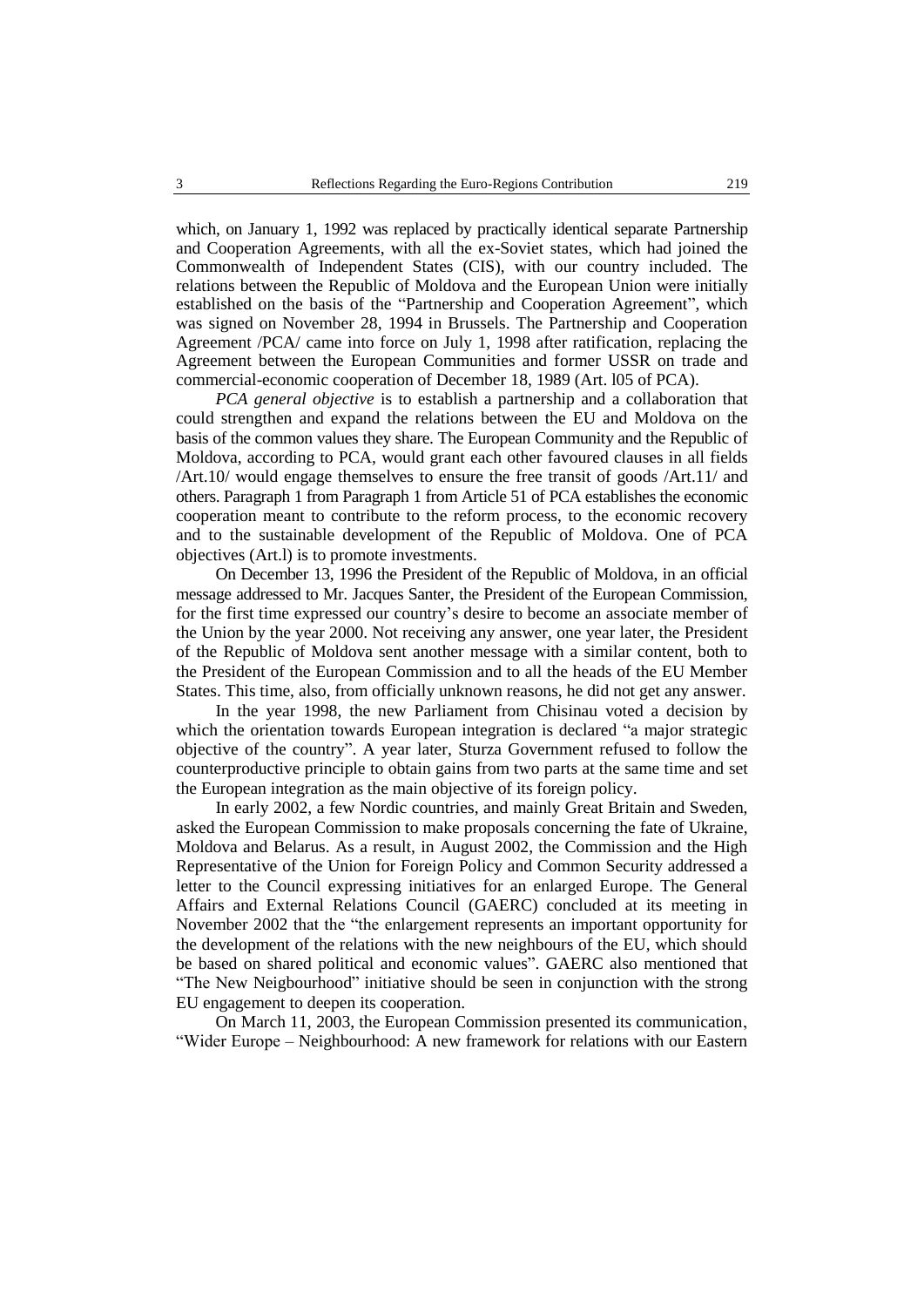which, on January 1, 1992 was replaced by practically identical separate Partnership and Cooperation Agreements, with all the ex-Soviet states, which had joined the Commonwealth of Independent States (CIS), with our country included. The relations between the Republic of Moldova and the European Union were initially established on the basis of the "Partnership and Cooperation Agreement", which was signed on November 28, 1994 in Brussels. The Partnership and Cooperation Agreement /PCA/ came into force on July 1, 1998 after ratification, replacing the Agreement between the European Communities and former USSR on trade and commercial-economic cooperation of December 18, 1989 (Art. l05 of PCA).

*PCA general objective* is to establish a partnership and a collaboration that could strengthen and expand the relations between the EU and Moldova on the basis of the common values they share. The European Community and the Republic of Moldova, according to PCA, would grant each other favoured clauses in all fields /Art.10/ would engage themselves to ensure the free transit of goods /Art.11/ and others. Paragraph 1 from Paragraph 1 from Article 51 of PCA establishes the economic cooperation meant to contribute to the reform process, to the economic recovery and to the sustainable development of the Republic of Moldova. One of PCA objectives (Art.l) is to promote investments.

On December 13, 1996 the President of the Republic of Moldova, in an official message addressed to Mr. Jacques Santer, the President of the European Commission, for the first time expressed our country's desire to become an associate member of the Union by the year 2000. Not receiving any answer, one year later, the President of the Republic of Moldova sent another message with a similar content, both to the President of the European Commission and to all the heads of the EU Member States. This time, also, from officially unknown reasons, he did not get any answer.

In the year 1998, the new Parliament from Chisinau voted a decision by which the orientation towards European integration is declared "a major strategic objective of the country". A year later, Sturza Government refused to follow the counterproductive principle to obtain gains from two parts at the same time and set the European integration as the main objective of its foreign policy.

In early 2002, a few Nordic countries, and mainly Great Britain and Sweden, asked the European Commission to make proposals concerning the fate of Ukraine, Moldova and Belarus. As a result, in August 2002, the Commission and the High Representative of the Union for Foreign Policy and Common Security addressed a letter to the Council expressing initiatives for an enlarged Europe. The General Affairs and External Relations Council (GAERC) concluded at its meeting in November 2002 that the "the enlargement represents an important opportunity for the development of the relations with the new neighbours of the EU, which should be based on shared political and economic values". GAERC also mentioned that "The New Neigbourhood" initiative should be seen in conjunction with the strong EU engagement to deepen its cooperation.

On March 11, 2003, the European Commission presented its communication' "Wider Europe – Neighbourhood: A new framework for relations with our Eastern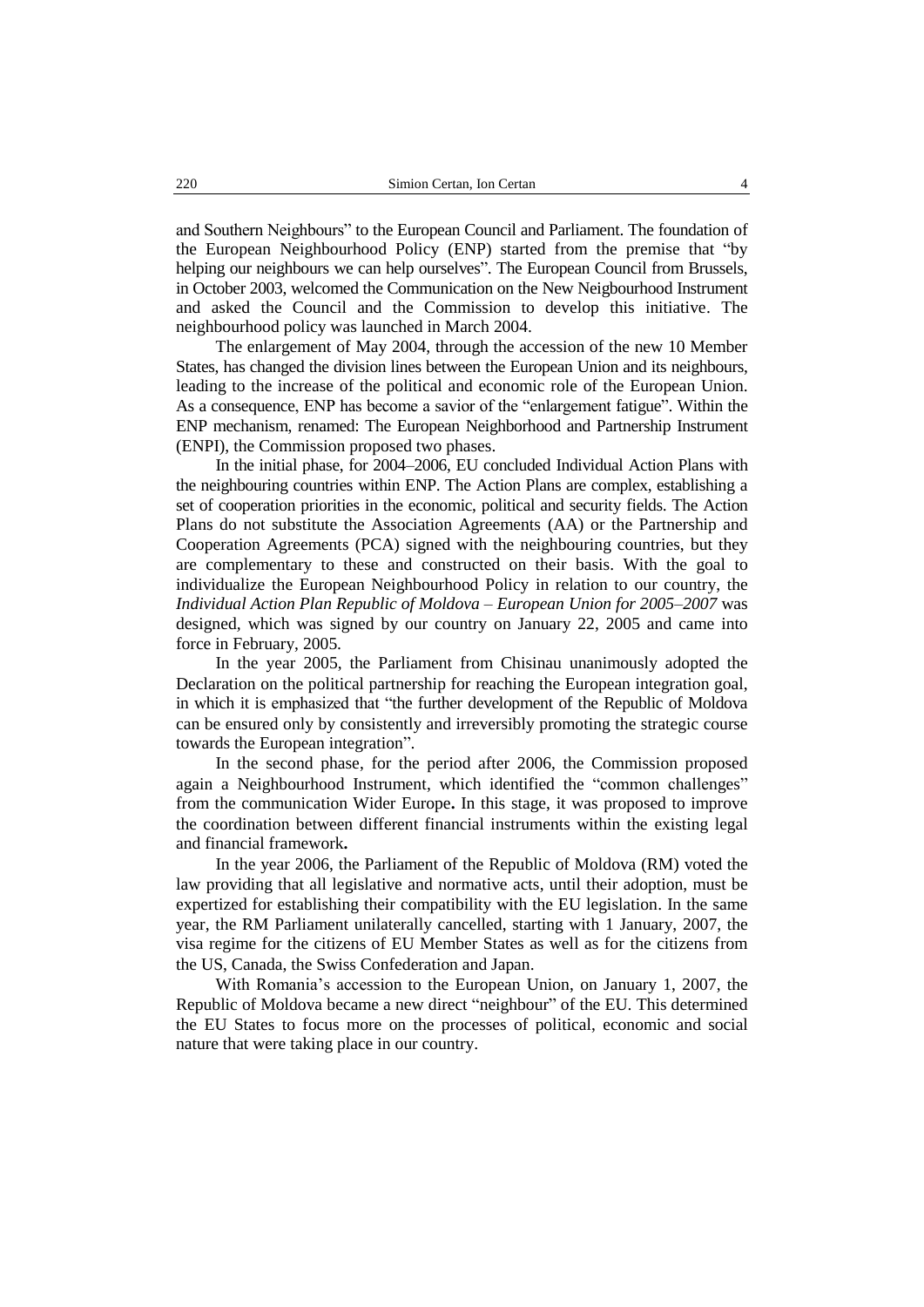and Southern Neighbours" to the European Council and Parliament. The foundation of the European Neighbourhood Policy (ENP) started from the premise that "by helping our neighbours we can help ourselves". The European Council from Brussels, in October 2003, welcomed the Communication on the New Neigbourhood Instrument and asked the Council and the Commission to develop this initiative. The neighbourhood policy was launched in March 2004.

The enlargement of May 2004, through the accession of the new 10 Member States, has changed the division lines between the European Union and its neighbours, leading to the increase of the political and economic role of the European Union. As a consequence, ENP has become a savior of the "enlargement fatigue". Within the ENP mechanism, renamed: The European Neighborhood and Partnership Instrument (ENPI), the Commission proposed two phases.

In the initial phase, for 2004–2006, EU concluded Individual Action Plans with the neighbouring countries within ENP. The Action Plans are complex, establishing a set of cooperation priorities in the economic, political and security fields. The Action Plans do not substitute the Association Agreements (AA) or the Partnership and Cooperation Agreements (PCA) signed with the neighbouring countries, but they are complementary to these and constructed on their basis. With the goal to individualize the European Neighbourhood Policy in relation to our country, the *Individual Action Plan Republic of Moldova – European Union for 2005–2007* was designed*,* which was signed by our country on January 22, 2005 and came into force in February, 2005.

In the year 2005, the Parliament from Chisinau unanimously adopted the Declaration on the political partnership for reaching the European integration goal, in which it is emphasized that "the further development of the Republic of Moldova can be ensured only by consistently and irreversibly promoting the strategic course towards the European integration".

In the second phase, for the period after 2006, the Commission proposed again a Neighbourhood Instrument, which identified the "common challenges" from the communication Wider Europe**.** In this stage, it was proposed to improve the coordination between different financial instruments within the existing legal and financial framework**.**

In the year 2006, the Parliament of the Republic of Moldova (RM) voted the law providing that all legislative and normative acts, until their adoption, must be expertized for establishing their compatibility with the EU legislation. In the same year, the RM Parliament unilaterally cancelled, starting with 1 January, 2007, the visa regime for the citizens of EU Member States as well as for the citizens from the US, Canada, the Swiss Confederation and Japan.

With Romania's accession to the European Union, on January 1, 2007, the Republic of Moldova became a new direct "neighbour" of the EU. This determined the EU States to focus more on the processes of political, economic and social nature that were taking place in our country.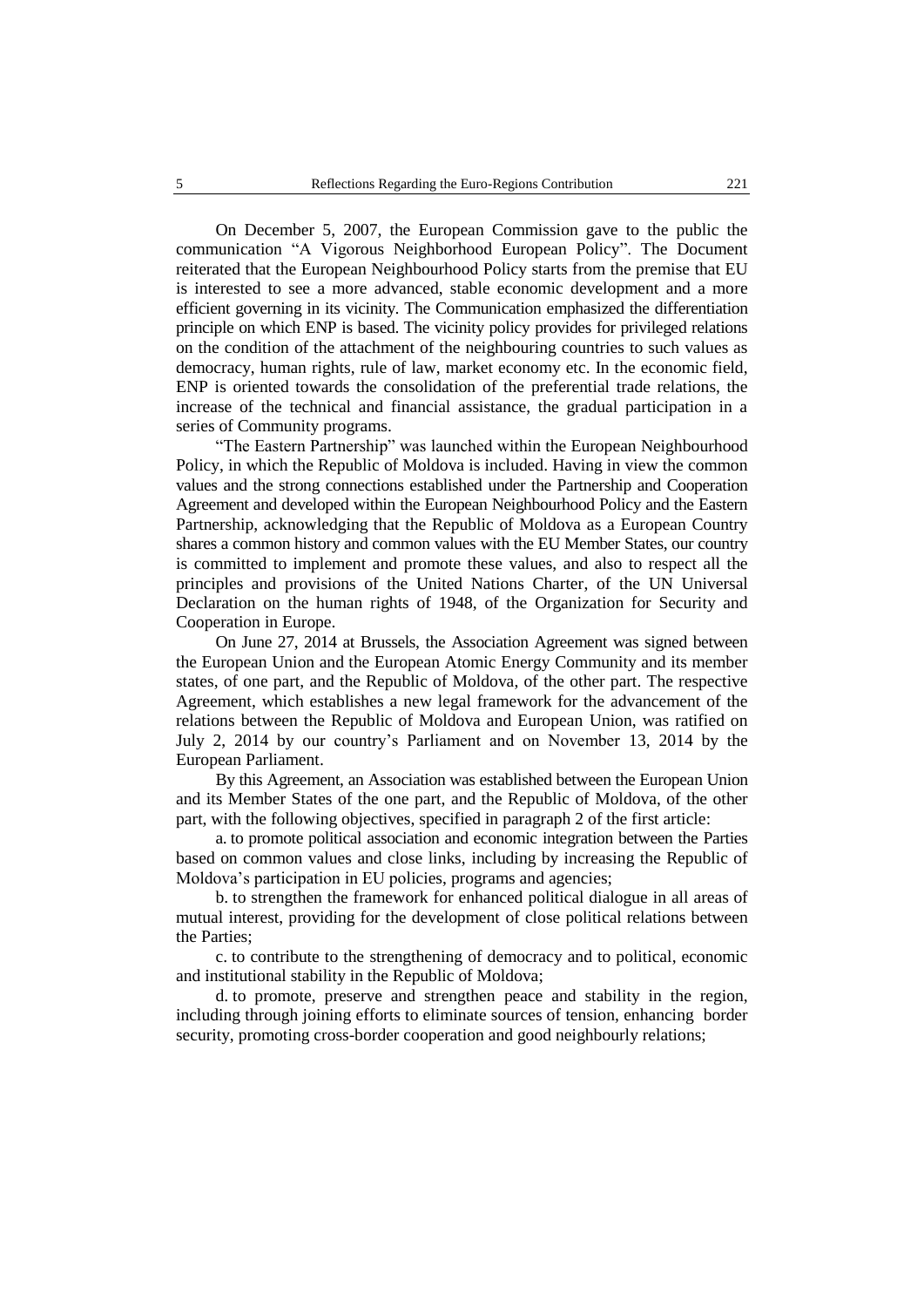On December 5, 2007, the European Commission gave to the public the communication "A Vigorous Neighborhood European Policy". The Document reiterated that the European Neighbourhood Policy starts from the premise that EU is interested to see a more advanced, stable economic development and a more efficient governing in its vicinity. The Communication emphasized the differentiation principle on which ENP is based. The vicinity policy provides for privileged relations on the condition of the attachment of the neighbouring countries to such values as democracy, human rights, rule of law, market economy etc. In the economic field, ENP is oriented towards the consolidation of the preferential trade relations, the increase of the technical and financial assistance, the gradual participation in a series of Community programs.

"The Eastern Partnership" was launched within the European Neighbourhood Policy, in which the Republic of Moldova is included. Having in view the common values and the strong connections established under the Partnership and Cooperation Agreement and developed within the European Neighbourhood Policy and the Eastern Partnership, acknowledging that the Republic of Moldova as a European Country shares a common history and common values with the EU Member States, our country is committed to implement and promote these values, and also to respect all the principles and provisions of the United Nations Charter, of the UN Universal Declaration on the human rights of 1948, of the Organization for Security and Cooperation in Europe.

On June 27, 2014 at Brussels, the Association Agreement was signed between the European Union and the European Atomic Energy Community and its member states, of one part, and the Republic of Moldova, of the other part. The respective Agreement, which establishes a new legal framework for the advancement of the relations between the Republic of Moldova and European Union, was ratified on July 2, 2014 by our country's Parliament and on November 13, 2014 by the European Parliament.

By this Agreement, an Association was established between the European Union and its Member States of the one part, and the Republic of Moldova, of the other part, with the following objectives, specified in paragraph 2 of the first article:

a. to promote political association and economic integration between the Parties based on common values and close links, including by increasing the Republic of Moldova's participation in EU policies, programs and agencies;

b. to strengthen the framework for enhanced political dialogue in all areas of mutual interest, providing for the development of close political relations between the Parties;

c. to contribute to the strengthening of democracy and to political, economic and institutional stability in the Republic of Moldova;

d. to promote, preserve and strengthen peace and stability in the region, including through joining efforts to eliminate sources of tension, enhancing border security, promoting cross-border cooperation and good neighbourly relations;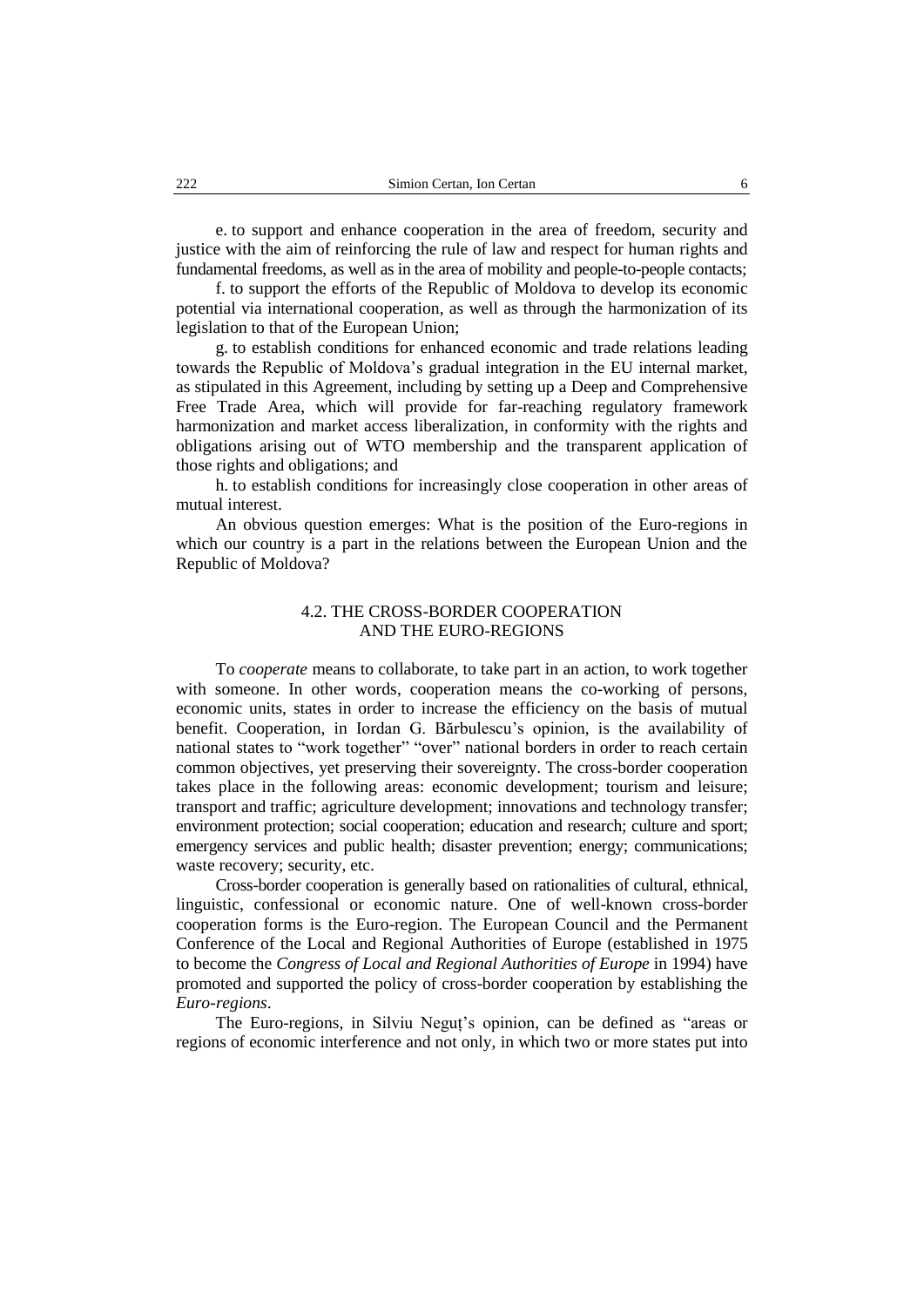e. to support and enhance cooperation in the area of freedom, security and justice with the aim of reinforcing the rule of law and respect for human rights and fundamental freedoms, as well as in the area of mobility and people-to-people contacts;

f. to support the efforts of the Republic of Moldova to develop its economic potential via international cooperation, as well as through the harmonization of its legislation to that of the European Union;

g. to establish conditions for enhanced economic and trade relations leading towards the Republic of Moldova's gradual integration in the EU internal market, as stipulated in this Agreement, including by setting up a Deep and Comprehensive Free Trade Area, which will provide for far-reaching regulatory framework harmonization and market access liberalization, in conformity with the rights and obligations arising out of WTO membership and the transparent application of those rights and obligations; and

h. to establish conditions for increasingly close cooperation in other areas of mutual interest.

An obvious question emerges: What is the position of the Euro-regions in which our country is a part in the relations between the European Union and the Republic of Moldova?

### 4.2. THE CROSS-BORDER COOPERATION AND THE EURO-REGIONS

To *cooperate* means to collaborate, to take part in an action, to work together with someone. In other words, cooperation means the co-working of persons, economic units, states in order to increase the efficiency on the basis of mutual benefit. Cooperation, in Iordan G. Bărbulescu's opinion, is the availability of national states to "work together" "over" national borders in order to reach certain common objectives, yet preserving their sovereignty. The cross-border cooperation takes place in the following areas: economic development; tourism and leisure; transport and traffic; agriculture development; innovations and technology transfer; environment protection; social cooperation; education and research; culture and sport; emergency services and public health; disaster prevention; energy; communications; waste recovery; security, etc.

Cross-border cooperation is generally based on rationalities of cultural, ethnical, linguistic, confessional or economic nature. One of well-known cross-border cooperation forms is the Euro-region. The European Council and the Permanent Conference of the Local and Regional Authorities of Europe (established in 1975 to become the *Congress of Local and Regional Authorities of Europe* in 1994) have promoted and supported the policy of cross-border cooperation by establishing the *Euro-regions*.

The Euro-regions, in Silviu Neguț's opinion, can be defined as "areas or regions of economic interference and not only, in which two or more states put into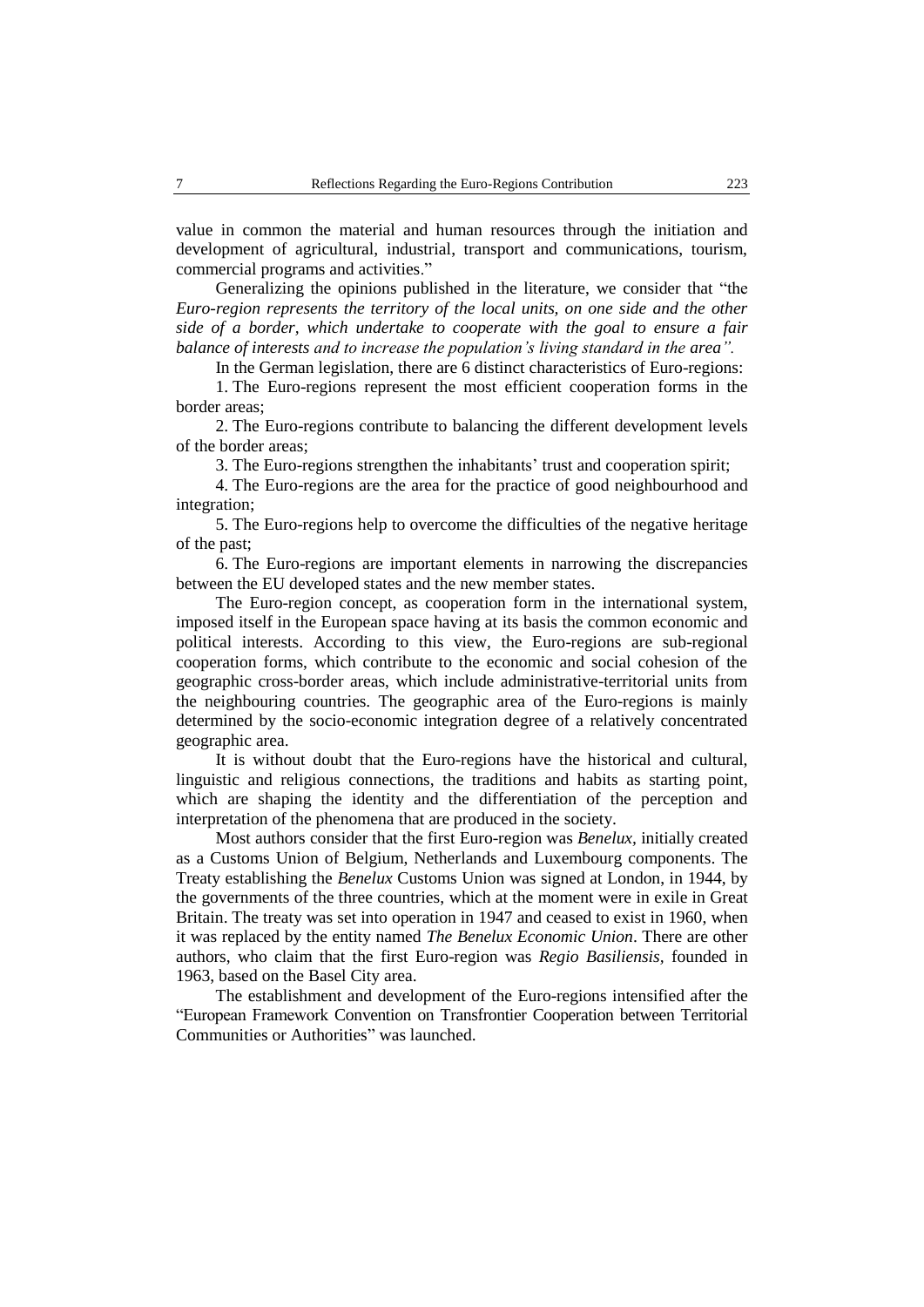value in common the material and human resources through the initiation and development of agricultural, industrial, transport and communications, tourism, commercial programs and activities."

Generalizing the opinions published in the literature, we consider that "the *Euro-region represents the territory of the local units, on one side and the other side of a border, which undertake to cooperate with the goal to ensure a fair balance of interests and to increase the population's living standard in the area".*

In the German legislation, there are 6 distinct characteristics of Euro-regions:

1. The Euro-regions represent the most efficient cooperation forms in the border areas;

2. The Euro-regions contribute to balancing the different development levels of the border areas;

3. The Euro-regions strengthen the inhabitants' trust and cooperation spirit;

4. The Euro-regions are the area for the practice of good neighbourhood and integration;

5. The Euro-regions help to overcome the difficulties of the negative heritage of the past;

6. The Euro-regions are important elements in narrowing the discrepancies between the EU developed states and the new member states.

The Euro-region concept, as cooperation form in the international system, imposed itself in the European space having at its basis the common economic and political interests. According to this view, the Euro-regions are sub-regional cooperation forms, which contribute to the economic and social cohesion of the geographic cross-border areas, which include administrative-territorial units from the neighbouring countries. The geographic area of the Euro-regions is mainly determined by the socio-economic integration degree of a relatively concentrated geographic area.

It is without doubt that the Euro-regions have the historical and cultural, linguistic and religious connections, the traditions and habits as starting point, which are shaping the identity and the differentiation of the perception and interpretation of the phenomena that are produced in the society.

Most authors consider that the first Euro-region was *Benelux,* initially created as a Customs Union of Belgium, Netherlands and Luxembourg components. The Treaty establishing the *Benelux* Customs Union was signed at London, in [1944,](https://ro.wikipedia.org/wiki/1944) by the governments of the three countries, which at the moment were in exile in Great Britain. The treaty was set into operation in [1947](https://ro.wikipedia.org/wiki/1947) and ceased to exist in [1960,](https://ro.wikipedia.org/wiki/1960) when it was replaced by the entity named *The Benelux Economic Union*. There are other authors, who claim that the first Euro-region was *Regio Basiliensis,* founded in 1963, based on the Basel City area.

The establishment and development of the Euro-regions intensified after the "European Framework Convention on Transfrontier Cooperation between Territorial Communities or Authorities" was launched.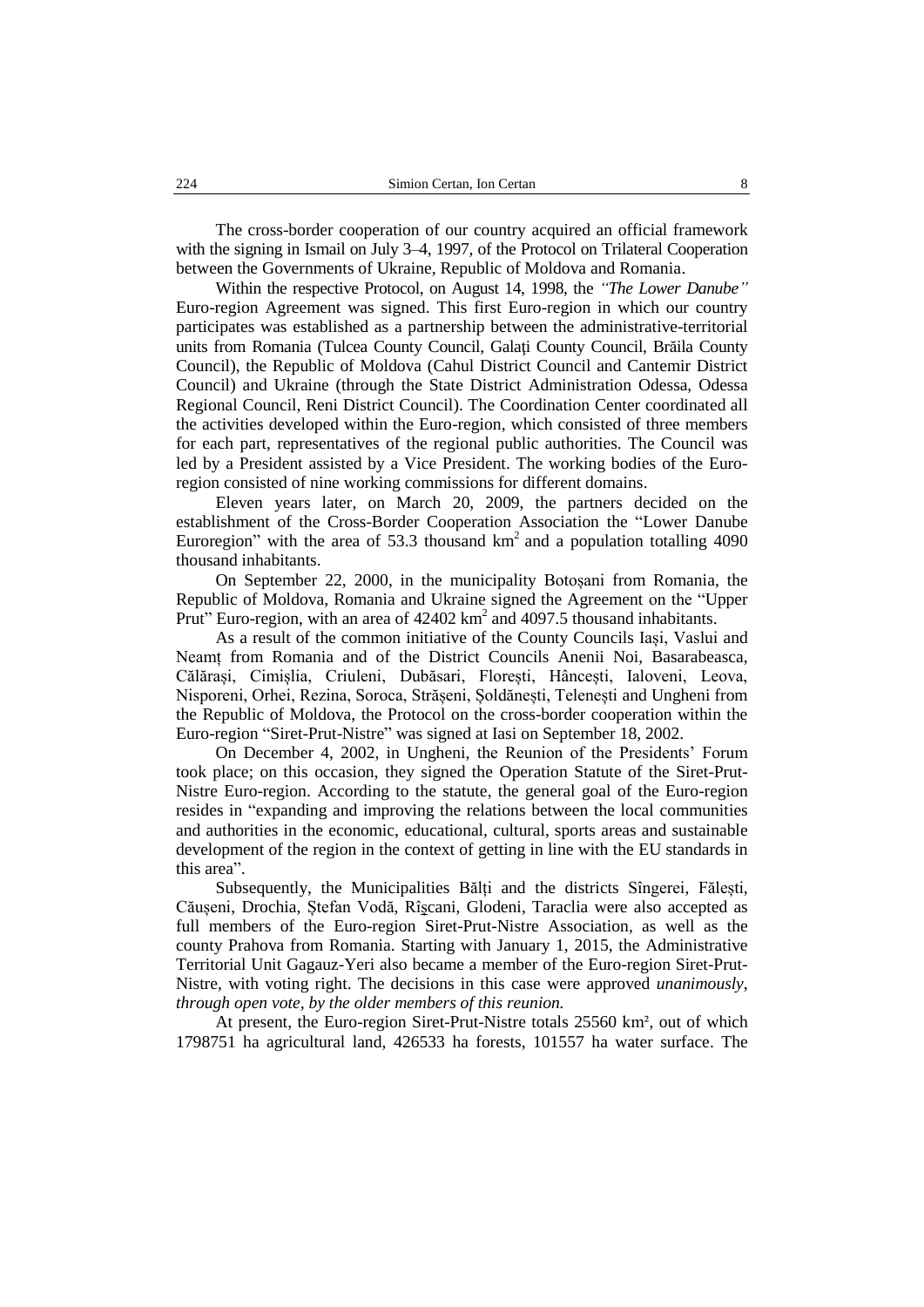The cross-border cooperation of our country acquired an official framework with the signing in [Ismail](https://ro.wikipedia.org/wiki/Ismail) on Jul[y 3](https://ro.wikipedia.org/wiki/3_iulie)[–4,](https://ro.wikipedia.org/wiki/4_iulie) [1997,](https://ro.wikipedia.org/wiki/1997) of the Protocol on Trilateral Cooperation between the Governments of Ukraine, Republic of Moldova and Romania.

Within the respective Protocol, on August 14, 1998, the *"The Lower Danube"* Euro-region Agreement was signed. This first Euro-region in which our country participates was established as a partnership between the administrative-territorial units from Romania (Tulcea County Council, Galaţi County Council, Brăila County Council), the Republic of Moldova (Cahul District Council and Cantemir District Council) and Ukraine (through the State District Administration Odessa, Odessa Regional Council, Reni District Council). The Coordination Center coordinated all the activities developed within the Euro-region, which consisted of three members for each part, representatives of the regional public authorities. The Council was led by a President assisted by a Vice President. The working bodies of the Euroregion consisted of nine working commissions for different domains.

Eleven years later, on March 20, 2009, the partners decided on the establishment of the Cross-Border Cooperation Association the "Lower Danube Euroregion" with the area of 53.3 thousand  $km<sup>2</sup>$  and a population totalling 4090 thousand inhabitants.

On September 22, 2000, in the municipality Botoșani from Romania, the Republic of Moldova, Romania and Ukraine signed the Agreement on the "Upper Prut" Euro-region, with an area of  $42402 \text{ km}^2$  and  $4097.5$  thousand inhabitants.

As a result of the common initiative of the County Councils Iași, Vaslui and Neamț from Romania and of the District Councils Anenii Noi, Basarabeasca, Călărași, Cimișlia, Criuleni, Dubăsari, Florești, Hâncești, Ialoveni, Leova, Nisporeni, Orhei, Rezina, Soroca, Strășeni, Șoldănești, Telenești and Ungheni from the Republic of Moldova, the Protocol on the cross-border cooperation within the Euro-region "Siret-Prut-Nistre" was signed at Iasi on September 18, 2002.

On December 4, 2002, in Ungheni, the Reunion of the Presidents' Forum took place; on this occasion, they signed the Operation Statute of the Siret-Prut-Nistre Euro-region. According to the statute, the general goal of the Euro-region resides in "expanding and improving the relations between the local communities and authorities in the economic, educational, cultural, sports areas and sustainable development of the region in the context of getting in line with the EU standards in this area".

Subsequently, the Municipalities Bălți and the districts [Sîngerei,](https://ro.wikipedia.org/wiki/Raionul_S%C3%AEngerei) [Fălești,](https://ro.wikipedia.org/wiki/Raionul_F%C4%83le%C8%99ti) [Căușeni,](https://ro.wikipedia.org/wiki/Raionul_C%C4%83u%C8%99eni) [Drochia,](https://ro.wikipedia.org/wiki/Raionul_Drochia) [Ștefan Vodă,](https://ro.wikipedia.org/wiki/Raionul_%C8%98tefan_Vod%C4%83) [Rîșcani,](https://ro.wikipedia.org/wiki/Raionul_R%C3%AE%C8%99cani) [Glodeni,](https://ro.wikipedia.org/wiki/Raionul_Glodeni) [Taraclia](https://ro.wikipedia.org/wiki/Raionul_Taraclia) were also accepted as full members of the Euro-region Siret-Prut-Nistre Association, as well as the county Prahova from Romania. Starting with January 1, 2015, the Administrative Territorial Unit Gagauz-Yeri also became a member of the Euro-region Siret-Prut-Nistre, with voting right. The decisions in this case were approved *unanimously*, *through open vote, by the older members of this reunion.*

At present, the Euro-region Siret-Prut-Nistre totals 25560 km², out of which 1798751 ha agricultural land, 426533 ha forests, 101557 ha water surface. The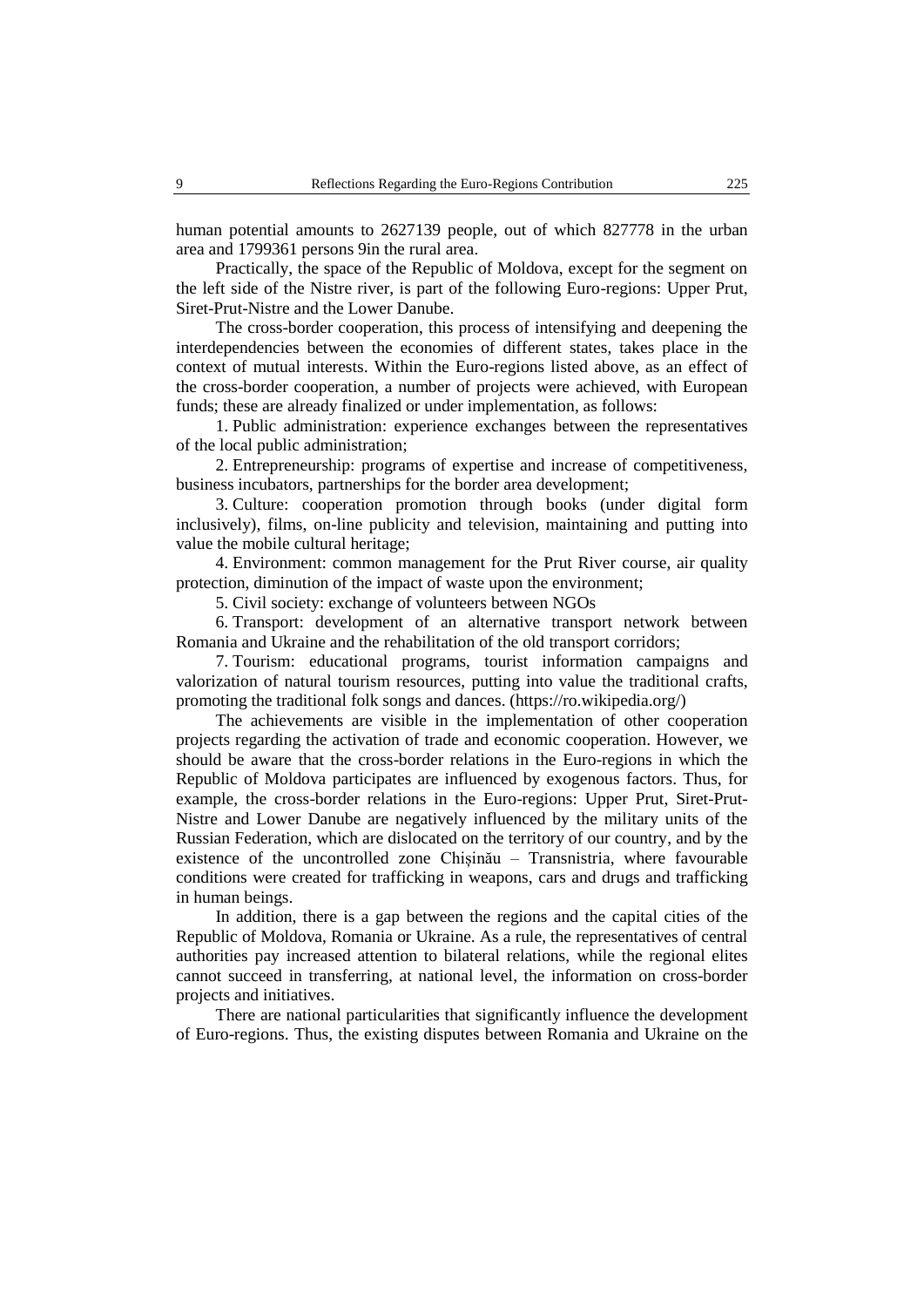human potential amounts to 2627139 people, out of which 827778 in the urban area and 1799361 persons 9in the rural area.

Practically, the space of the Republic of Moldova, except for the segment on the left side of the Nistre river, is part of the following Euro-regions: Upper Prut, Siret-Prut-Nistre and the Lower Danube.

The cross-border cooperation, this process of intensifying and deepening the interdependencies between the economies of different states, takes place in the context of mutual interests. Within the Euro-regions listed above, as an effect of the cross-border cooperation, a number of projects were achieved, with European funds; these are already finalized or under implementation, as follows:

1. Public administration: experience exchanges between the representatives of the local public administration;

2. Entrepreneurship: programs of expertise and increase of competitiveness, business incubators, partnerships for the border area development;

3. Culture: cooperation promotion through books (under digital form inclusively), films, on-line publicity and television, maintaining and putting into value the mobile cultural heritage;

4. Environment: common management for the Prut River course, air quality protection, diminution of the impact of waste upon the environment;

5. Civil society: exchange of volunteers between NGOs

6. [Transport:](https://ro.wikipedia.org/wiki/Transport) development of an alternative transport network between Romania and Ukraine and the rehabilitation of the old transport corridors;

7. Tourism: educational programs, tourist information campaigns and valorization of natural tourism resources, putting into value the traditional crafts, promoting the traditional folk songs and dances. [\(https://ro.wikipedia.org/\)](https://ro.wikipedia.org/wiki/Euroregiunea_Prutul_de_Sus#cite_note-61)

The achievements are visible in the implementation of other cooperation projects regarding the activation of trade and economic cooperation. However, we should be aware that the cross-border relations in the Euro-regions in which the Republic of Moldova participates are influenced by exogenous factors. Thus, for example, the cross-border relations in the Euro-regions: Upper Prut, Siret-Prut-Nistre and Lower Danube are negatively influenced by the military units of the Russian Federation, which are dislocated on the territory of our country, and by the existence of the uncontrolled zone Chișinău – Transnistria, where favourable conditions were created for trafficking in weapons, cars and drugs and trafficking in human beings.

In addition, there is a gap between the regions and the capital cities of the Republic of Moldova, Romania or Ukraine. As a rule, the representatives of central authorities pay increased attention to bilateral relations, while the regional elites cannot succeed in transferring, at national level, the information on cross-border projects and initiatives.

There are national particularities that significantly influence the development of Euro-regions. Thus, the existing disputes between Romania and Ukraine on the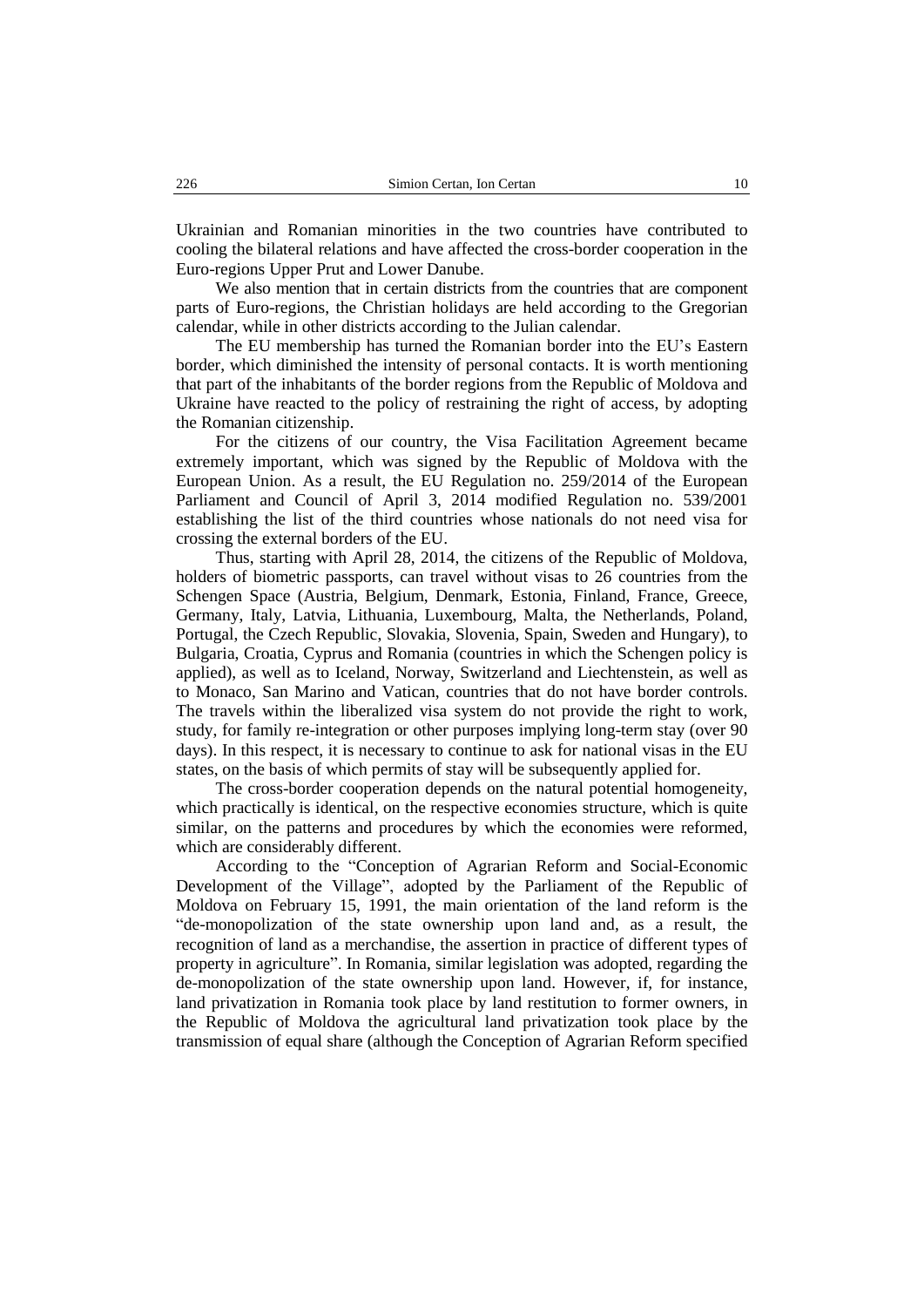Ukrainian and Romanian minorities in the two countries have contributed to cooling the bilateral relations and have affected the cross-border cooperation in the Euro-regions Upper Prut and Lower Danube.

We also mention that in certain districts from the countries that are component parts of Euro-regions, the Christian holidays are held according to the Gregorian calendar, while in other districts according to the Julian calendar.

The EU membership has turned the Romanian border into the EU's Eastern border, which diminished the intensity of personal contacts. It is worth mentioning that part of the inhabitants of the border regions from the Republic of Moldova and Ukraine have reacted to the policy of restraining the right of access, by adopting the Romanian citizenship.

For the citizens of our country, the Visa Facilitation Agreement became extremely important, which was signed by the Republic of Moldova with the European Union. As a result, the EU Regulation no. 259/2014 of the European Parliament and Council of April 3, 2014 modified Regulation no. 539/2001 establishing the list of the third countries whose nationals do not need visa for crossing the external borders of the EU.

Thus, starting with April 28, 2014, the citizens of the Republic of Moldova, holders of biometric passports, can travel without visas to 26 countries from the Schengen Space (Austria, Belgium, Denmark, Estonia, Finland, France, Greece, Germany, Italy, Latvia, Lithuania, Luxembourg, Malta, the Netherlands, Poland, Portugal, the Czech Republic, Slovakia, Slovenia, Spain, Sweden and Hungary), to Bulgaria, Croatia, Cyprus and Romania (countries in which the Schengen policy is applied), as well as to Iceland, Norway, Switzerland and Liechtenstein, as well as to Monaco, San Marino and Vatican, countries that do not have border controls. The travels within the liberalized visa system do not provide the right to work, study, for family re-integration or other purposes implying long-term stay (over 90 days). In this respect, it is necessary to continue to ask for national visas in the EU states, on the basis of which permits of stay will be subsequently applied for.

The cross-border cooperation depends on the natural potential homogeneity, which practically is identical, on the respective economies structure, which is quite similar, on the patterns and procedures by which the economies were reformed, which are considerably different.

According to the "Conception of Agrarian Reform and Social-Economic Development of the Village", adopted by the Parliament of the Republic of Moldova on February 15, 1991, the main orientation of the land reform is the "de-monopolization of the state ownership upon land and, as a result, the recognition of land as a merchandise, the assertion in practice of different types of property in agriculture". In Romania, similar legislation was adopted, regarding the de-monopolization of the state ownership upon land. However, if, for instance, land privatization in Romania took place by land restitution to former owners, in the Republic of Moldova the agricultural land privatization took place by the transmission of equal share (although the Conception of Agrarian Reform specified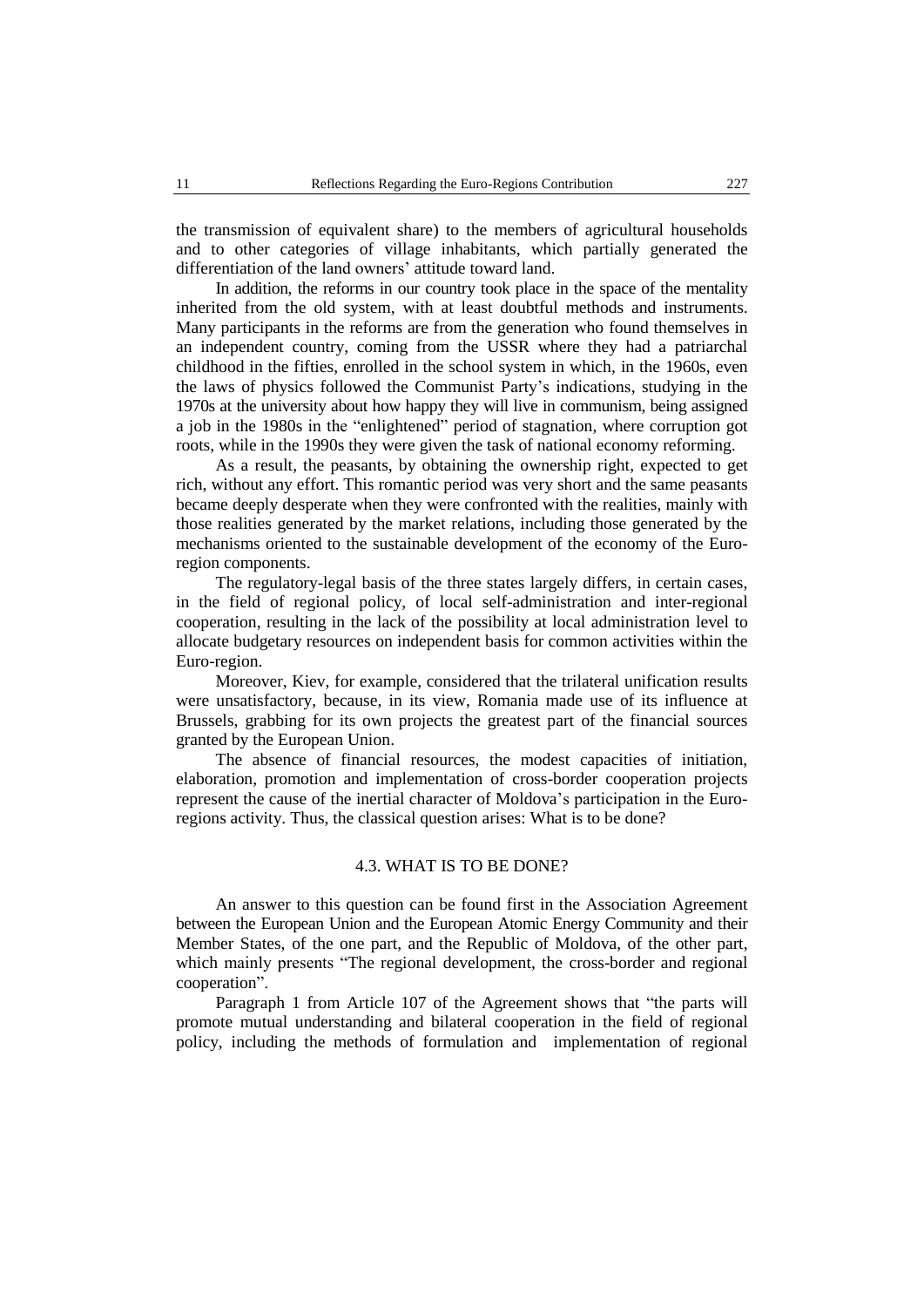the transmission of equivalent share) to the members of agricultural households and to other categories of village inhabitants, which partially generated the differentiation of the land owners' attitude toward land.

In addition, the reforms in our country took place in the space of the mentality inherited from the old system, with at least doubtful methods and instruments. Many participants in the reforms are from the generation who found themselves in an independent country, coming from the USSR where they had a patriarchal childhood in the fifties, enrolled in the school system in which, in the 1960s, even the laws of physics followed the Communist Party's indications, studying in the 1970s at the university about how happy they will live in communism, being assigned a job in the 1980s in the "enlightened" period of stagnation, where corruption got roots, while in the 1990s they were given the task of national economy reforming.

As a result, the peasants, by obtaining the ownership right, expected to get rich, without any effort. This romantic period was very short and the same peasants became deeply desperate when they were confronted with the realities, mainly with those realities generated by the market relations, including those generated by the mechanisms oriented to the sustainable development of the economy of the Euroregion components.

The regulatory-legal basis of the three states largely differs, in certain cases, in the field of regional policy, of local self-administration and inter-regional cooperation, resulting in the lack of the possibility at local administration level to allocate budgetary resources on independent basis for common activities within the Euro-region.

Moreover, [Kiev,](https://ro.wikipedia.org/wiki/Kiev) for example, considered that the trilateral unification results were unsatisfactory, because, in its view, Romania made use of its influence at Brussels, grabbing for its own projects the greatest part of the financial sources granted by the European Union.

The absence of financial resources, the modest capacities of initiation, elaboration, promotion and implementation of cross-border cooperation projects represent the cause of the inertial character of Moldova's participation in the Euroregions activity. Thus, the classical question arises: What is to be done?

#### 4.3. WHAT IS TO BE DONE?

An answer to this question can be found first in the Association Agreement between the European Union and the European Atomic Energy Community and their Member States, of the one part, and the Republic of Moldova, of the other part, which mainly presents "The regional development, the cross-border and regional cooperation".

Paragraph 1 from Article 107 of the Agreement shows that "the parts will promote mutual understanding and bilateral cooperation in the field of regional policy, including the methods of formulation and implementation of regional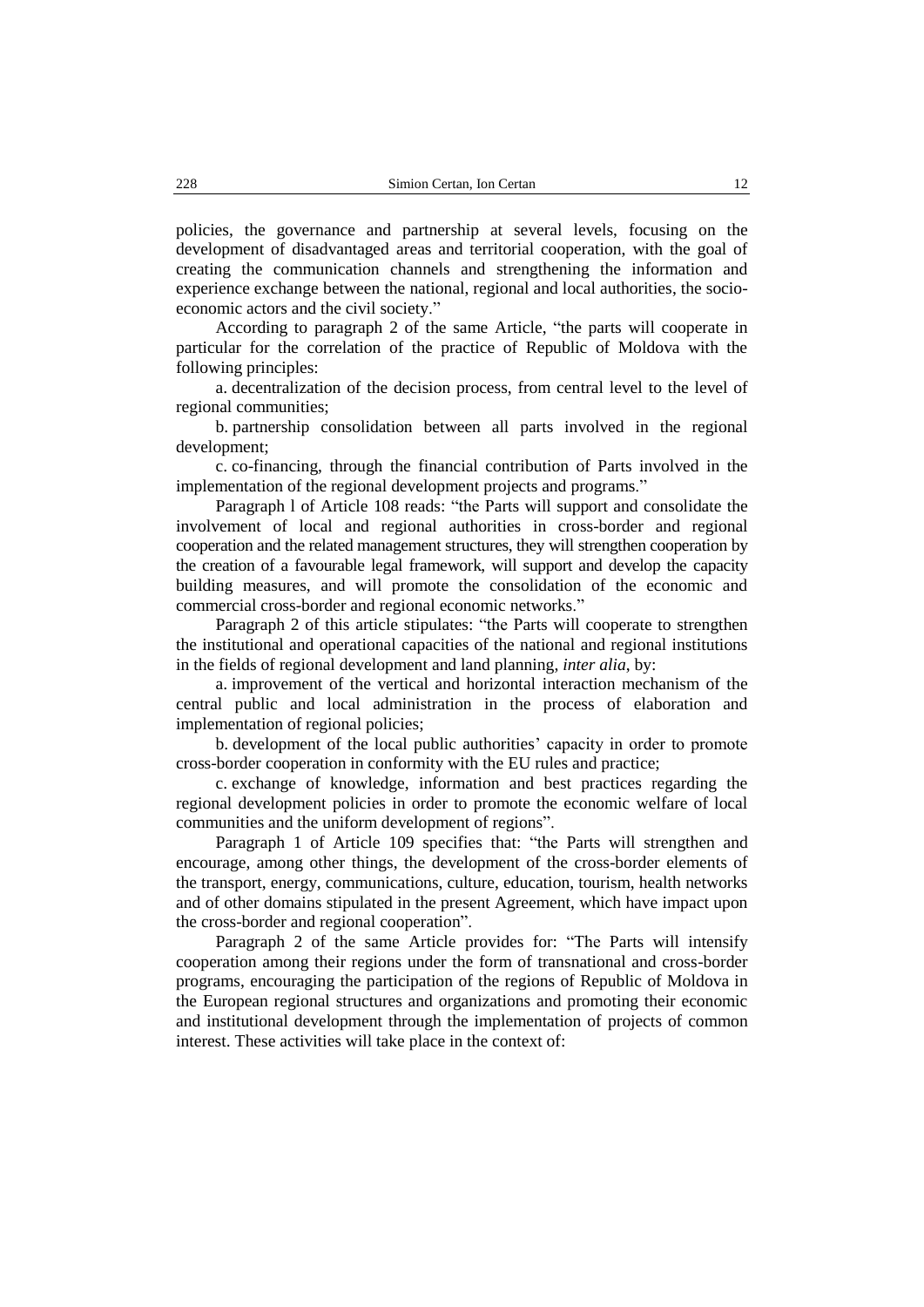policies, the governance and partnership at several levels, focusing on the development of disadvantaged areas and territorial cooperation, with the goal of creating the communication channels and strengthening the information and experience exchange between the national, regional and local authorities, the socioeconomic actors and the civil society."

According to paragraph 2 of the same Article, "the parts will cooperate in particular for the correlation of the practice of Republic of Moldova with the following principles:

a. decentralization of the decision process, from central level to the level of regional communities;

b. partnership consolidation between all parts involved in the regional development;

c. co-financing, through the financial contribution of Parts involved in the implementation of the regional development projects and programs."

Paragraph l of Article 108 reads: "the Parts will support and consolidate the involvement of local and regional authorities in cross-border and regional cooperation and the related management structures, they will strengthen cooperation by the creation of a favourable legal framework, will support and develop the capacity building measures, and will promote the consolidation of the economic and commercial cross-border and regional economic networks."

Paragraph 2 of this article stipulates: "the Parts will cooperate to strengthen the institutional and operational capacities of the national and regional institutions in the fields of regional development and land planning, *inter alia*, by:

a. improvement of the vertical and horizontal interaction mechanism of the central public and local administration in the process of elaboration and implementation of regional policies;

b. development of the local public authorities' capacity in order to promote cross-border cooperation in conformity with the EU rules and practice;

c. exchange of knowledge, information and best practices regarding the regional development policies in order to promote the economic welfare of local communities and the uniform development of regions".

Paragraph 1 of Article 109 specifies that: "the Parts will strengthen and encourage, among other things, the development of the cross-border elements of the transport, energy, communications, culture, education, tourism, health networks and of other domains stipulated in the present Agreement, which have impact upon the cross-border and regional cooperation".

Paragraph 2 of the same Article provides for: "The Parts will intensify cooperation among their regions under the form of transnational and cross-border programs, encouraging the participation of the regions of Republic of Moldova in the European regional structures and organizations and promoting their economic and institutional development through the implementation of projects of common interest. These activities will take place in the context of: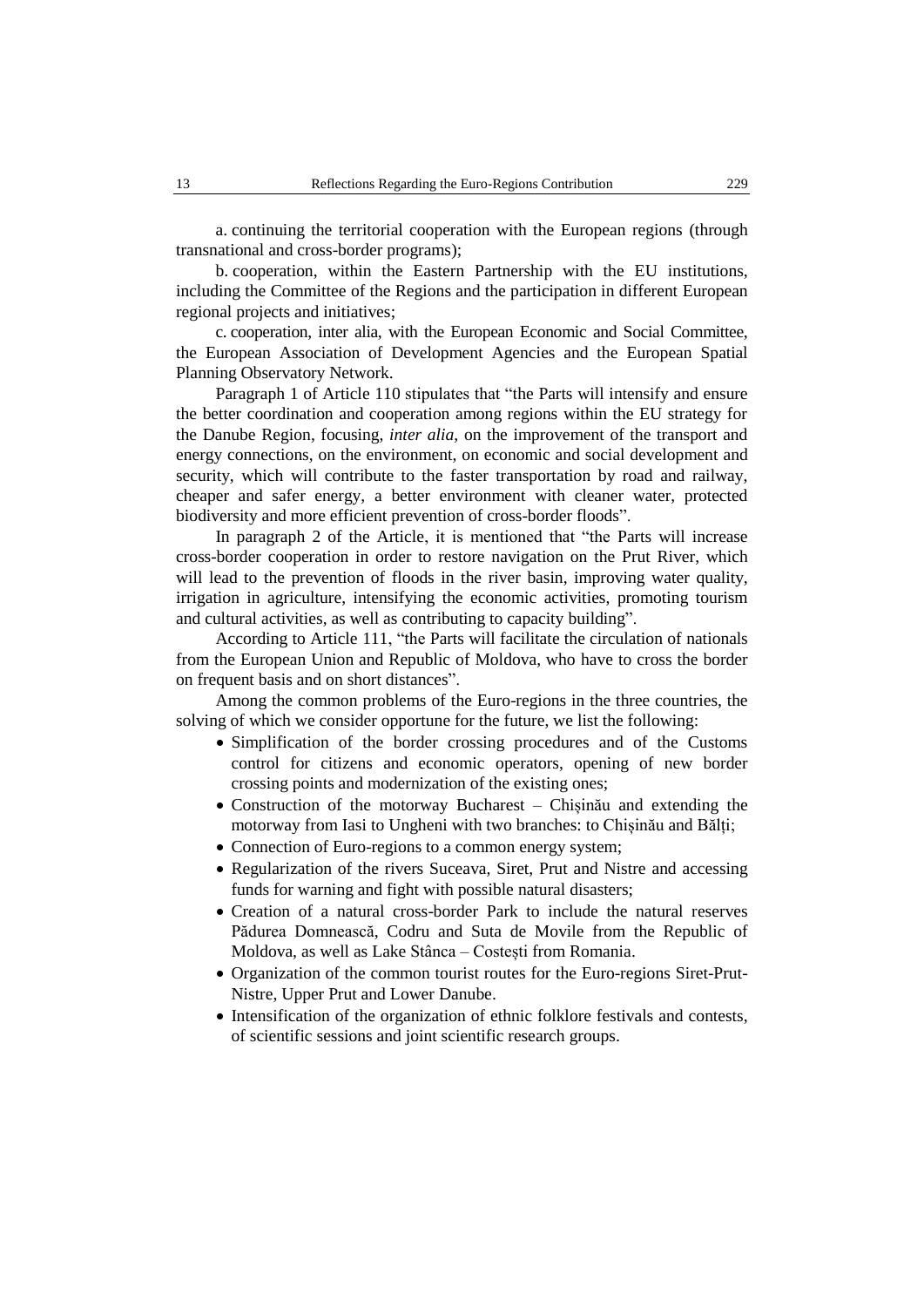a. continuing the territorial cooperation with the European regions (through transnational and cross-border programs);

b. cooperation, within the Eastern Partnership with the EU institutions, including the Committee of the Regions and the participation in different European regional projects and initiatives;

c. cooperation, inter alia, with the European Economic and Social Committee, the European Association of Development Agencies and the European Spatial Planning Observatory Network.

Paragraph 1 of Article 110 stipulates that "the Parts will intensify and ensure the better coordination and cooperation among regions within the EU strategy for the Danube Region, focusing, *inter alia*, on the improvement of the transport and energy connections, on the environment, on economic and social development and security, which will contribute to the faster transportation by road and railway, cheaper and safer energy, a better environment with cleaner water, protected biodiversity and more efficient prevention of cross-border floods".

In paragraph 2 of the Article, it is mentioned that "the Parts will increase cross-border cooperation in order to restore navigation on the Prut River, which will lead to the prevention of floods in the river basin, improving water quality, irrigation in agriculture, intensifying the economic activities, promoting tourism and cultural activities, as well as contributing to capacity building".

According to Article 111, "the Parts will facilitate the circulation of nationals from the European Union and Republic of Moldova, who have to cross the border on frequent basis and on short distances".

Among the common problems of the Euro-regions in the three countries, the solving of which we consider opportune for the future, we list the following:

- Simplification of the border crossing procedures and of the Customs control for citizens and economic operators, opening of new border crossing points and modernization of the existing ones;
- Construction of the motorway Bucharest Chișinău and extending the motorway from Iasi to Ungheni with two branches: to Chișinău and Bălți;
- Connection of Euro-regions to a common energy system;
- Regularization of the rivers [Suceava,](https://ro.wikipedia.org/wiki/R%C3%A2ul_Suceava) [Siret,](https://ro.wikipedia.org/wiki/R%C3%A2ul_Siret) Prut and Nistre and accessing funds for warning and fight with possible natural disasters;
- Creation of a natural cross-border Park to include the natural reserves [Pădurea Domnească,](https://ro.wikipedia.org/wiki/P%C4%83durea_Domneasc%C4%83) Codru and [Suta de Movile](https://ro.wikipedia.org/wiki/Suta_de_Movile) from the Republic of Moldova, as well as Lake [Stânca –](https://ro.wikipedia.org/wiki/Lacul_St%C3%A2nca_-_Coste%C8%99ti) Costești from Romania.
- Organization of the common tourist routes for the Euro-regions Siret-Prut-Nistre, Upper Prut and Lower Danube.
- Intensification of the organization of ethnic folklore festivals and contests, of scientific sessions and joint scientific research groups.